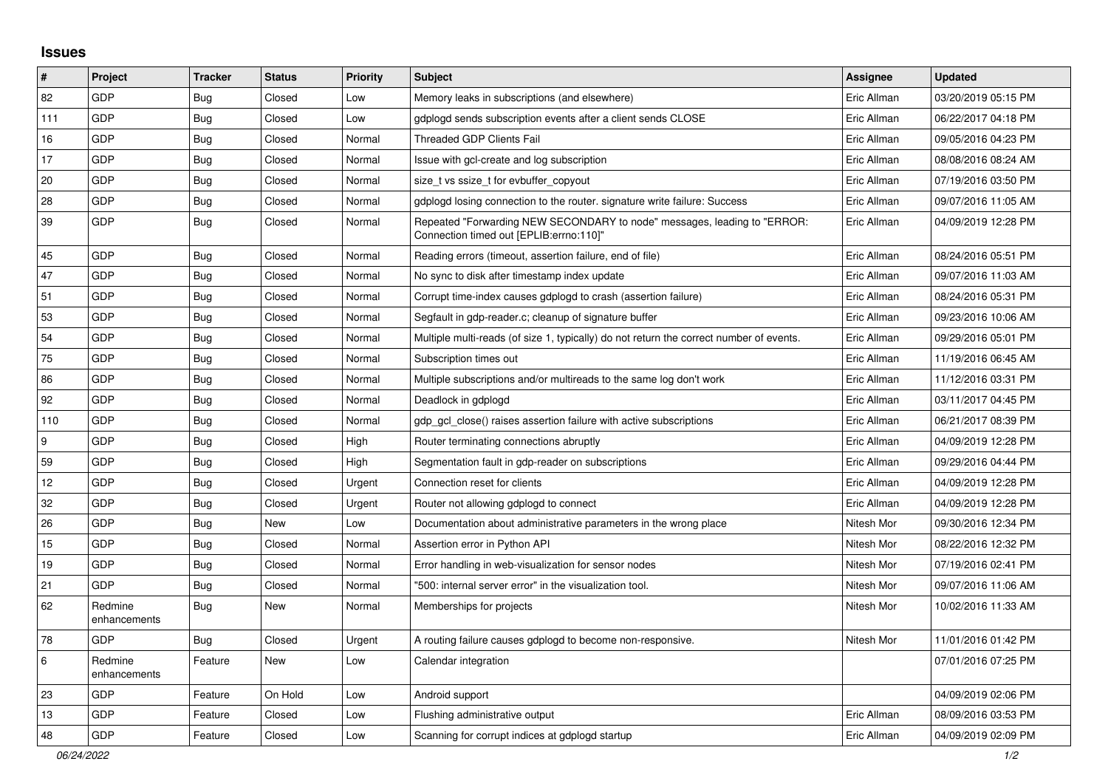## **Issues**

| $\pmb{\sharp}$ | <b>Project</b>          | <b>Tracker</b> | <b>Status</b> | <b>Priority</b> | <b>Subject</b>                                                                                                      | Assignee    | <b>Updated</b>      |
|----------------|-------------------------|----------------|---------------|-----------------|---------------------------------------------------------------------------------------------------------------------|-------------|---------------------|
| 82             | <b>GDP</b>              | <b>Bug</b>     | Closed        | Low             | Memory leaks in subscriptions (and elsewhere)                                                                       | Eric Allman | 03/20/2019 05:15 PM |
| 111            | <b>GDP</b>              | Bug            | Closed        | Low             | gdplogd sends subscription events after a client sends CLOSE                                                        | Eric Allman | 06/22/2017 04:18 PM |
| 16             | <b>GDP</b>              | <b>Bug</b>     | Closed        | Normal          | Threaded GDP Clients Fail                                                                                           | Eric Allman | 09/05/2016 04:23 PM |
| 17             | <b>GDP</b>              | Bug            | Closed        | Normal          | Issue with gcl-create and log subscription                                                                          | Eric Allman | 08/08/2016 08:24 AM |
| 20             | <b>GDP</b>              | Bug            | Closed        | Normal          | size t vs ssize t for evbuffer copyout                                                                              | Eric Allman | 07/19/2016 03:50 PM |
| 28             | GDP                     | <b>Bug</b>     | Closed        | Normal          | gdplogd losing connection to the router, signature write failure: Success                                           | Eric Allman | 09/07/2016 11:05 AM |
| 39             | <b>GDP</b>              | <b>Bug</b>     | Closed        | Normal          | Repeated "Forwarding NEW SECONDARY to node" messages, leading to "ERROR:<br>Connection timed out [EPLIB:errno:110]" | Eric Allman | 04/09/2019 12:28 PM |
| 45             | <b>GDP</b>              | <b>Bug</b>     | Closed        | Normal          | Reading errors (timeout, assertion failure, end of file)                                                            | Eric Allman | 08/24/2016 05:51 PM |
| 47             | <b>GDP</b>              | <b>Bug</b>     | Closed        | Normal          | No sync to disk after timestamp index update                                                                        | Eric Allman | 09/07/2016 11:03 AM |
| 51             | GDP                     | <b>Bug</b>     | Closed        | Normal          | Corrupt time-index causes gdplogd to crash (assertion failure)                                                      | Eric Allman | 08/24/2016 05:31 PM |
| 53             | <b>GDP</b>              | <b>Bug</b>     | Closed        | Normal          | Segfault in gdp-reader.c; cleanup of signature buffer                                                               | Eric Allman | 09/23/2016 10:06 AM |
| 54             | GDP                     | Bug            | Closed        | Normal          | Multiple multi-reads (of size 1, typically) do not return the correct number of events.                             | Eric Allman | 09/29/2016 05:01 PM |
| 75             | <b>GDP</b>              | <b>Bug</b>     | Closed        | Normal          | Subscription times out                                                                                              | Eric Allman | 11/19/2016 06:45 AM |
| 86             | GDP                     | <b>Bug</b>     | Closed        | Normal          | Multiple subscriptions and/or multireads to the same log don't work                                                 | Eric Allman | 11/12/2016 03:31 PM |
| 92             | <b>GDP</b>              | <b>Bug</b>     | Closed        | Normal          | Deadlock in gdplogd                                                                                                 | Eric Allman | 03/11/2017 04:45 PM |
| 110            | GDP                     | <b>Bug</b>     | Closed        | Normal          | gdp gcl close() raises assertion failure with active subscriptions                                                  | Eric Allman | 06/21/2017 08:39 PM |
| 9              | <b>GDP</b>              | Bug            | Closed        | High            | Router terminating connections abruptly                                                                             | Eric Allman | 04/09/2019 12:28 PM |
| 59             | GDP                     | Bug            | Closed        | High            | Segmentation fault in gdp-reader on subscriptions                                                                   | Eric Allman | 09/29/2016 04:44 PM |
| 12             | GDP                     | Bug            | Closed        | Urgent          | Connection reset for clients                                                                                        | Eric Allman | 04/09/2019 12:28 PM |
| 32             | <b>GDP</b>              | <b>Bug</b>     | Closed        | Urgent          | Router not allowing gdplogd to connect                                                                              | Eric Allman | 04/09/2019 12:28 PM |
| 26             | <b>GDP</b>              | <b>Bug</b>     | New           | Low             | Documentation about administrative parameters in the wrong place                                                    | Nitesh Mor  | 09/30/2016 12:34 PM |
| 15             | <b>GDP</b>              | <b>Bug</b>     | Closed        | Normal          | Assertion error in Python API                                                                                       | Nitesh Mor  | 08/22/2016 12:32 PM |
| 19             | <b>GDP</b>              | Bug            | Closed        | Normal          | Error handling in web-visualization for sensor nodes                                                                | Nitesh Mor  | 07/19/2016 02:41 PM |
| 21             | <b>GDP</b>              | <b>Bug</b>     | Closed        | Normal          | "500: internal server error" in the visualization tool.                                                             | Nitesh Mor  | 09/07/2016 11:06 AM |
| 62             | Redmine<br>enhancements | Bug            | New           | Normal          | Memberships for projects                                                                                            | Nitesh Mor  | 10/02/2016 11:33 AM |
| 78             | GDP                     | <b>Bug</b>     | Closed        | Urgent          | A routing failure causes gdplogd to become non-responsive.                                                          | Nitesh Mor  | 11/01/2016 01:42 PM |
| 6              | Redmine<br>enhancements | Feature        | New           | Low             | Calendar integration                                                                                                |             | 07/01/2016 07:25 PM |
| 23             | <b>GDP</b>              | Feature        | On Hold       | Low             | Android support                                                                                                     |             | 04/09/2019 02:06 PM |
| 13             | <b>GDP</b>              | Feature        | Closed        | Low             | Flushing administrative output                                                                                      | Eric Allman | 08/09/2016 03:53 PM |
| 48             | <b>GDP</b>              | Feature        | Closed        | Low             | Scanning for corrupt indices at gdplogd startup                                                                     | Eric Allman | 04/09/2019 02:09 PM |